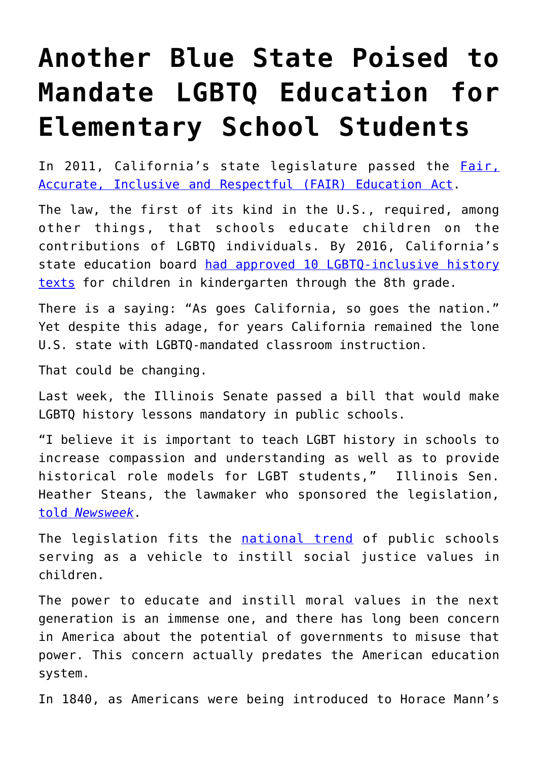## **[Another Blue State Poised to](https://intellectualtakeout.org/2018/05/another-blue-state-poised-to-mandate-lgbtq-education-for-elementary-school-students/) [Mandate LGBTQ Education for](https://intellectualtakeout.org/2018/05/another-blue-state-poised-to-mandate-lgbtq-education-for-elementary-school-students/) [Elementary School Students](https://intellectualtakeout.org/2018/05/another-blue-state-poised-to-mandate-lgbtq-education-for-elementary-school-students/)**

In 2011, California's state legislature passed the [Fair,](http://www.faireducationact.com/) [Accurate, Inclusive and Respectful \(FAIR\) Education Act.](http://www.faireducationact.com/)

The law, the first of its kind in the U.S., required, among other things, that schools educate children on the contributions of LGBTQ individuals. By 2016, California's state education board [had approved 10 LGBTQ-inclusive history](https://www.advocate.com/youth/2017/11/12/california-first-state-approve-lgbt-inclusive-history-books-k-8-schools) [texts](https://www.advocate.com/youth/2017/11/12/california-first-state-approve-lgbt-inclusive-history-books-k-8-schools) for children in kindergarten through the 8th grade.

There is a saying: "As goes California, so goes the nation." Yet despite this adage, for years California remained the lone U.S. state with LGBTQ-mandated classroom instruction.

That could be changing.

Last week, the Illinois Senate passed a bill that would make LGBTQ history lessons mandatory in public schools.

"I believe it is important to teach LGBT history in schools to increase compassion and understanding as well as to provide historical role models for LGBT students," Illinois Sen. Heather Steans, the lawmaker who sponsored the legislation, [told](http://www.newsweek.com/mandatory-lgbt-history-lessons-school-children-illinois-senate-909329) *[Newsweek](http://www.newsweek.com/mandatory-lgbt-history-lessons-school-children-illinois-senate-909329)*.

The legislation fits the [national trend](https://www.intellectualtakeout.org/article/indoctrination-american-schools-how-bad-it) of public schools serving as a vehicle to instill social justice values in children.

The power to educate and instill moral values in the next generation is an immense one, and there has long been concern in America about the potential of governments to misuse that power. This concern actually predates the American education system.

In 1840, as Americans were being introduced to Horace Mann's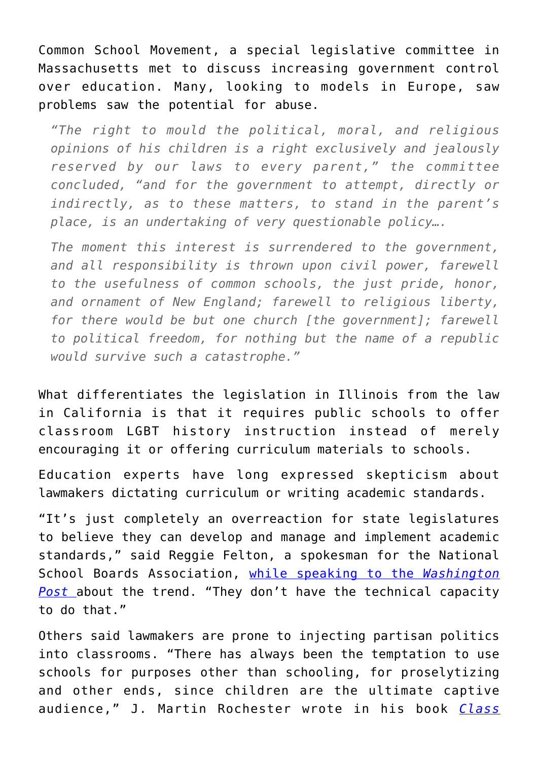Common School Movement, a special legislative committee in Massachusetts met to discuss increasing government control over education. Many, looking to models in Europe, saw problems saw the potential for abuse.

*"The right to mould the political, moral, and religious opinions of his children is a right exclusively and jealously reserved by our laws to every parent," the committee concluded, "and for the government to attempt, directly or indirectly, as to these matters, to stand in the parent's place, is an undertaking of very questionable policy….*

*The moment this interest is surrendered to the government, and all responsibility is thrown upon civil power, farewell to the usefulness of common schools, the just pride, honor, and ornament of New England; farewell to religious liberty, for there would be but one church [the government]; farewell to political freedom, for nothing but the name of a republic would survive such a catastrophe."*

What differentiates the legislation in Illinois from the law in California is that it requires public schools to offer classroom LGBT history instruction instead of merely encouraging it or offering curriculum materials to schools.

Education experts have long expressed skepticism about lawmakers dictating curriculum or writing academic standards.

"It's just completely an overreaction for state legislatures to believe they can develop and manage and implement academic standards," said Reggie Felton, a spokesman for the National School Boards Association, [while speaking to the](https://www.washingtonpost.com/local/education/legislatures-taking-state-education-into-their-own-hands/2014/08/02/71bec126-1745-11e4-9e3b-7f2f110c6265_story.html?utm_term=.c5dafab39627) *[Washington](https://www.washingtonpost.com/local/education/legislatures-taking-state-education-into-their-own-hands/2014/08/02/71bec126-1745-11e4-9e3b-7f2f110c6265_story.html?utm_term=.c5dafab39627) [Post](https://www.washingtonpost.com/local/education/legislatures-taking-state-education-into-their-own-hands/2014/08/02/71bec126-1745-11e4-9e3b-7f2f110c6265_story.html?utm_term=.c5dafab39627)* about the trend. "They don't have the technical capacity to do that."

Others said lawmakers are prone to injecting partisan politics into classrooms. "There has always been the temptation to use schools for purposes other than schooling, for proselytizing and other ends, since children are the ultimate captive audience," J. Martin Rochester wrote in his book *[Class](https://amzn.to/2I5Toei)*